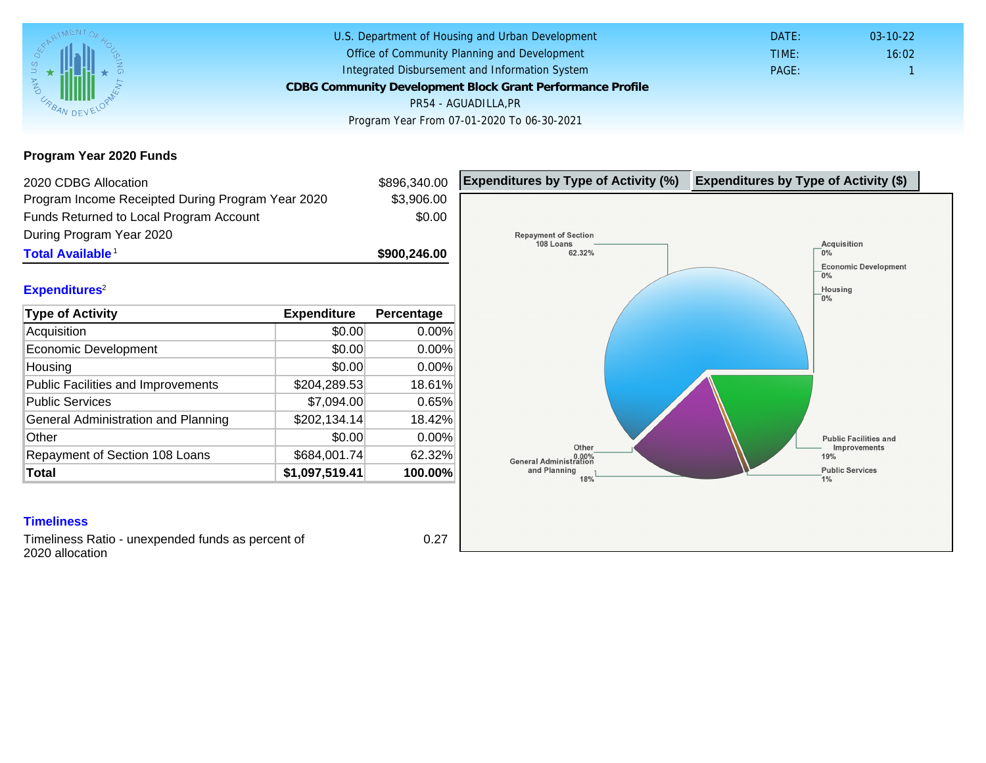### Program Year 2020 Funds

| 2020 CDBG Allocation                              |                | \$896,340.00 | Expenditures by Type of Activity (%) | Expenditure |
|---------------------------------------------------|----------------|--------------|--------------------------------------|-------------|
| Program Income Receipted During Program Year 2020 |                | \$3,906.00   |                                      |             |
| Funds Returned to Local Program Account           |                | \$0.00       |                                      |             |
| During Program Year 2020                          |                |              |                                      |             |
| Total Available <sup>1</sup>                      |                | \$900,246.00 |                                      |             |
| Expenditures <sup>2</sup>                         |                |              |                                      |             |
| Type of Activity                                  | Expenditure    | Percentage   |                                      |             |
| Acquisition                                       | \$0.00         | 0.00%        |                                      |             |
| Economic Development                              | \$0.00         | 0.00%        |                                      |             |
| Housing                                           | \$0.00         | 0.00%        |                                      |             |
| Public Facilities and Improvements                | \$204,289.53   | 18.61%       |                                      |             |
| <b>Public Services</b>                            | \$7,094.00     | 0.65%        |                                      |             |
| General Administration and Planning               | \$202,134.14   | 18.42%       |                                      |             |
| Other                                             | \$0.00         | 0.00%        |                                      |             |
| Repayment of Section 108 Loans                    | \$684,001.74   | 62.32%       |                                      |             |
| Total                                             | \$1,097,519.41 | 100.00%      |                                      |             |

Timeliness Ratio - unexpended funds as percent of 2020 allocation

0.27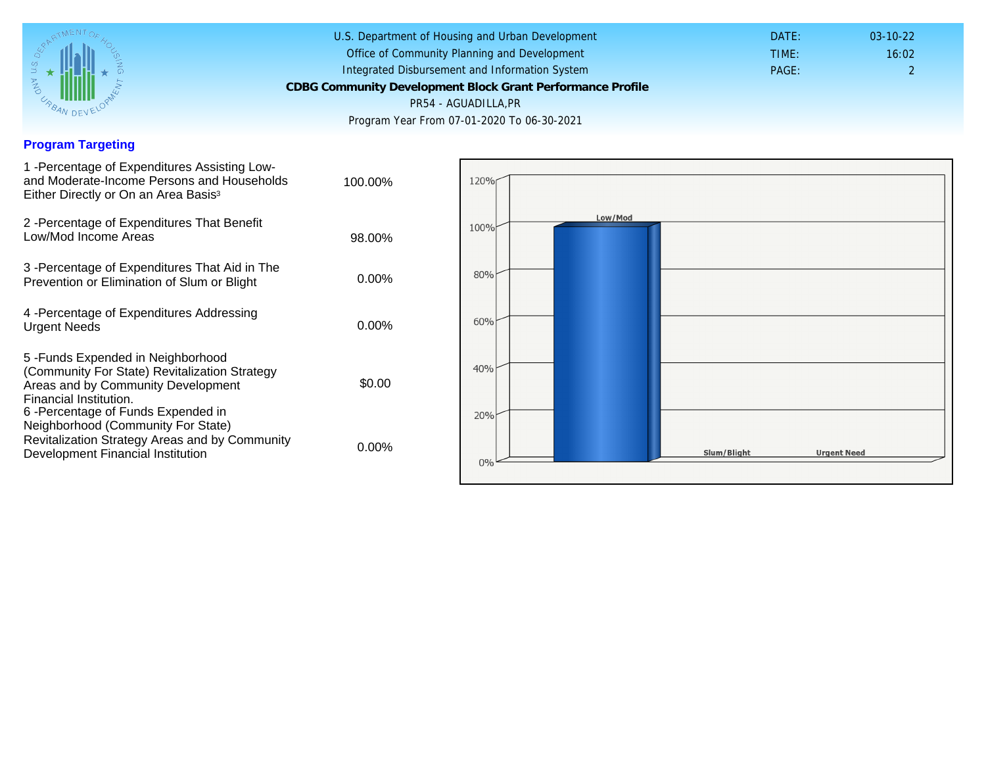## Program Targeting

| 1 - Percentage of Expenditures Assisting Low-<br>and Moderate-Income Persons and Households<br>Either Directly or On an Area Basis <sup>3</sup>                                                                              | 100.00%  |
|------------------------------------------------------------------------------------------------------------------------------------------------------------------------------------------------------------------------------|----------|
| 2 - Percentage of Expenditures That Benefit<br>Low/Mod Income Areas                                                                                                                                                          | 98.00%   |
| 3 -Percentage of Expenditures That Aid in The<br>Prevention or Elimination of Slum or Blight                                                                                                                                 | $0.00\%$ |
| 4 - Percentage of Expenditures Addressing<br><b>Urgent Needs</b>                                                                                                                                                             | $0.00\%$ |
| 5-Funds Expended in Neighborhood<br>(Community For State) Revitalization Strategy<br>Areas and by Community Development<br>Financial Institution.<br>6-Percentage of Funds Expended in<br>Neighborhood (Community For State) | \$0.00   |
| Revitalization Strategy Areas and by Community<br>Development Financial Institution                                                                                                                                          | $0.00\%$ |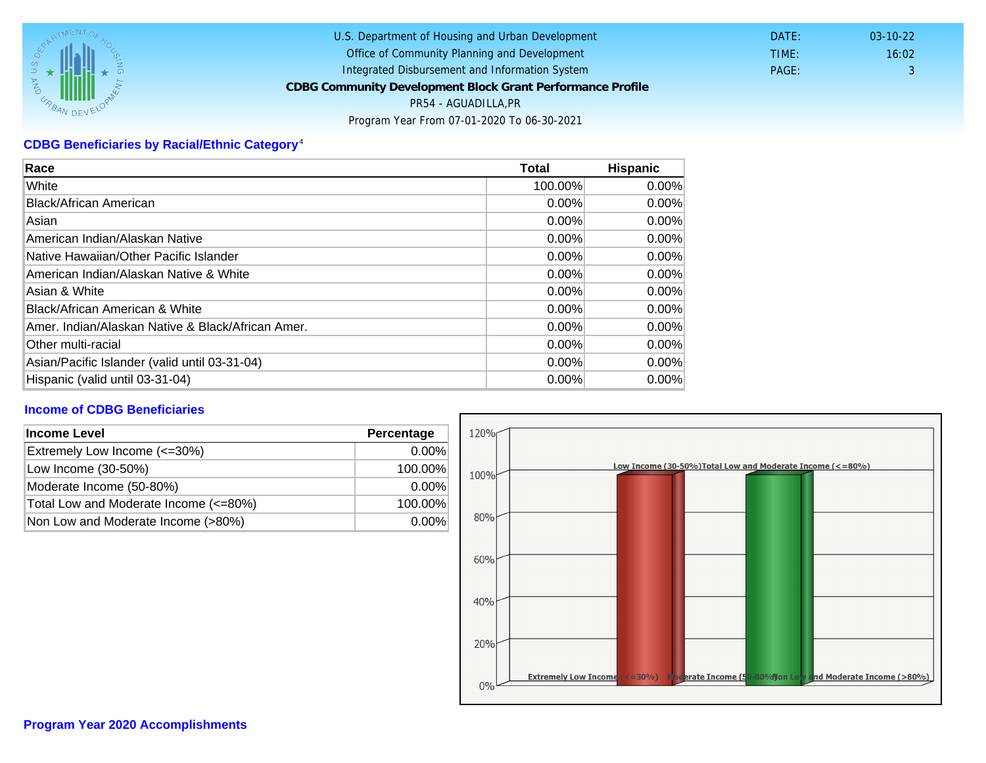# CDBG Beneficiaries by Racial/Ethnic Category <sup>4</sup>

| Race                                              | Total    | Hispanic |
|---------------------------------------------------|----------|----------|
| White                                             | 100.00%  | $0.00\%$ |
| Black/African American                            | 0.00%    | $0.00\%$ |
| Asian                                             | $0.00\%$ | 0.00%    |
| American Indian/Alaskan Native                    | 0.00%    | $0.00\%$ |
| Native Hawaiian/Other Pacific Islander            | $0.00\%$ | $0.00\%$ |
| American Indian/Alaskan Native & White            | $0.00\%$ | $0.00\%$ |
| Asian & White                                     | 0.00%    | 0.00%    |
| Black/African American & White                    | 0.00%    | 0.00%    |
| Amer. Indian/Alaskan Native & Black/African Amer. | $0.00\%$ | $0.00\%$ |
| <b>Other multi-racial</b>                         | 0.00%    | $0.00\%$ |
| Asian/Pacific Islander (valid until 03-31-04)     | $0.00\%$ | 0.00%    |
| Hispanic (valid until 03-31-04)                   | 0.00%    | 0.00%    |

## Income of CDBG Beneficiaries

| Income Level                          | Percentage |
|---------------------------------------|------------|
| Extremely Low Income (<=30%)          | $0.00\%$   |
| Low Income (30-50%)                   | 100.00%    |
| Moderate Income (50-80%)              | $0.00\%$   |
| Total Low and Moderate Income (<=80%) | 100.00%    |
| Non Low and Moderate Income (>80%)    | $0.00\%$   |